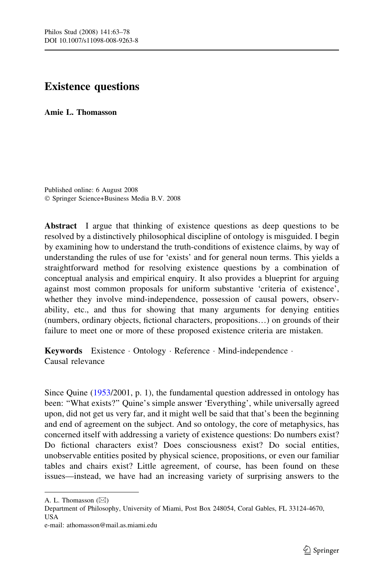# Existence questions

Amie L. Thomasson

Published online: 6 August 2008 Springer Science+Business Media B.V. 2008

Abstract I argue that thinking of existence questions as deep questions to be resolved by a distinctively philosophical discipline of ontology is misguided. I begin by examining how to understand the truth-conditions of existence claims, by way of understanding the rules of use for 'exists' and for general noun terms. This yields a straightforward method for resolving existence questions by a combination of conceptual analysis and empirical enquiry. It also provides a blueprint for arguing against most common proposals for uniform substantive 'criteria of existence', whether they involve mind-independence, possession of causal powers, observability, etc., and thus for showing that many arguments for denying entities (numbers, ordinary objects, fictional characters, propositions…) on grounds of their failure to meet one or more of these proposed existence criteria are mistaken.

Keywords Existence Ontology Reference Mind-independence Causal relevance

Since Quine ([1953/](#page-15-0)2001, p. 1), the fundamental question addressed in ontology has been: ''What exists?'' Quine's simple answer 'Everything', while universally agreed upon, did not get us very far, and it might well be said that that's been the beginning and end of agreement on the subject. And so ontology, the core of metaphysics, has concerned itself with addressing a variety of existence questions: Do numbers exist? Do fictional characters exist? Does consciousness exist? Do social entities, unobservable entities posited by physical science, propositions, or even our familiar tables and chairs exist? Little agreement, of course, has been found on these issues—instead, we have had an increasing variety of surprising answers to the

Department of Philosophy, University of Miami, Post Box 248054, Coral Gables, FL 33124-4670, USA

e-mail: athomasson@mail.as.miami.edu

A. L. Thomasson  $(\boxtimes)$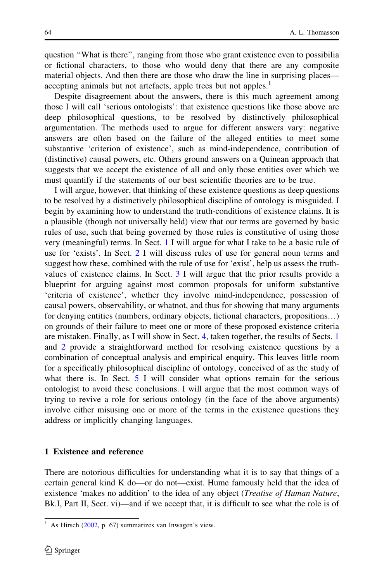<span id="page-1-0"></span>question ''What is there'', ranging from those who grant existence even to possibilia or fictional characters, to those who would deny that there are any composite material objects. And then there are those who draw the line in surprising places accepting animals but not artefacts, apple trees but not apples.<sup>1</sup>

Despite disagreement about the answers, there is this much agreement among those I will call 'serious ontologists': that existence questions like those above are deep philosophical questions, to be resolved by distinctively philosophical argumentation. The methods used to argue for different answers vary: negative answers are often based on the failure of the alleged entities to meet some substantive 'criterion of existence', such as mind-independence, contribution of (distinctive) causal powers, etc. Others ground answers on a Quinean approach that suggests that we accept the existence of all and only those entities over which we must quantify if the statements of our best scientific theories are to be true.

I will argue, however, that thinking of these existence questions as deep questions to be resolved by a distinctively philosophical discipline of ontology is misguided. I begin by examining how to understand the truth-conditions of existence claims. It is a plausible (though not universally held) view that our terms are governed by basic rules of use, such that being governed by those rules is constitutive of using those very (meaningful) terms. In Sect. 1 I will argue for what I take to be a basic rule of use for 'exists'. In Sect. [2](#page-4-0) I will discuss rules of use for general noun terms and suggest how these, combined with the rule of use for 'exist', help us assess the truthvalues of existence claims. In Sect. [3](#page-7-0) I will argue that the prior results provide a blueprint for arguing against most common proposals for uniform substantive 'criteria of existence', whether they involve mind-independence, possession of causal powers, observability, or whatnot, and thus for showing that many arguments for denying entities (numbers, ordinary objects, fictional characters, propositions…) on grounds of their failure to meet one or more of these proposed existence criteria are mistaken. Finally, as I will show in Sect. [4](#page-11-0), taken together, the results of Sects. 1 and [2](#page-4-0) provide a straightforward method for resolving existence questions by a combination of conceptual analysis and empirical enquiry. This leaves little room for a specifically philosophical discipline of ontology, conceived of as the study of what there is. In Sect. [5](#page-12-0) I will consider what options remain for the serious ontologist to avoid these conclusions. I will argue that the most common ways of trying to revive a role for serious ontology (in the face of the above arguments) involve either misusing one or more of the terms in the existence questions they address or implicitly changing languages.

### 1 Existence and reference

There are notorious difficulties for understanding what it is to say that things of a certain general kind K do—or do not—exist. Hume famously held that the idea of existence 'makes no addition' to the idea of any object (Treatise of Human Nature, Bk.I, Part II, Sect. vi)—and if we accept that, it is difficult to see what the role is of

 $1$  As Hirsch ([2002,](#page-15-0) p. 67) summarizes van Inwagen's view.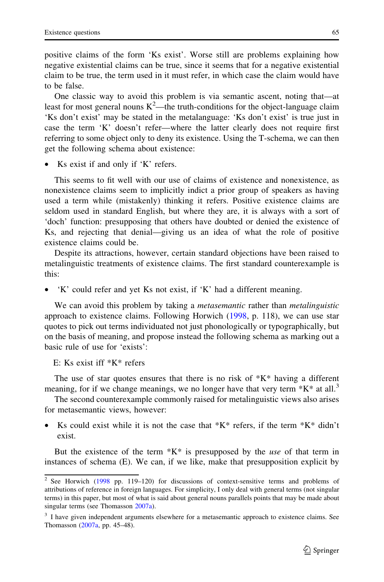positive claims of the form 'Ks exist'. Worse still are problems explaining how negative existential claims can be true, since it seems that for a negative existential claim to be true, the term used in it must refer, in which case the claim would have to be false.

One classic way to avoid this problem is via semantic ascent, noting that—at least for most general nouns  $K^2$ —the truth-conditions for the object-language claim 'Ks don't exist' may be stated in the metalanguage: 'Ks don't exist' is true just in case the term 'K' doesn't refer—where the latter clearly does not require first referring to some object only to deny its existence. Using the T-schema, we can then get the following schema about existence:

Ks exist if and only if 'K' refers.

This seems to fit well with our use of claims of existence and nonexistence, as nonexistence claims seem to implicitly indict a prior group of speakers as having used a term while (mistakenly) thinking it refers. Positive existence claims are seldom used in standard English, but where they are, it is always with a sort of 'doch' function: presupposing that others have doubted or denied the existence of Ks, and rejecting that denial—giving us an idea of what the role of positive existence claims could be.

Despite its attractions, however, certain standard objections have been raised to metalinguistic treatments of existence claims. The first standard counterexample is this:

• 'K' could refer and yet Ks not exist, if 'K' had a different meaning.

We can avoid this problem by taking a *metasemantic* rather than *metalinguistic* approach to existence claims. Following Horwich ([1998,](#page-15-0) p. 118), we can use star quotes to pick out terms individuated not just phonologically or typographically, but on the basis of meaning, and propose instead the following schema as marking out a basic rule of use for 'exists':

E: Ks exist iff \*K\* refers

The use of star quotes ensures that there is no risk of  $*K^*$  having a different meaning, for if we change meanings, we no longer have that very term  $*K*$  at all.<sup>3</sup>

The second counterexample commonly raised for metalinguistic views also arises for metasemantic views, however:

Ks could exist while it is not the case that  $K^*$  refers, if the term  $*K^*$  didn't exist.

But the existence of the term  $K^*$  is presupposed by the use of that term in instances of schema (E). We can, if we like, make that presupposition explicit by

<sup>2</sup> See Horwich [\(1998](#page-15-0) pp. 119–120) for discussions of context-sensitive terms and problems of attributions of reference in foreign languages. For simplicity, I only deal with general terms (not singular terms) in this paper, but most of what is said about general nouns parallels points that may be made about singular terms (see Thomasson [2007a\)](#page-15-0).

<sup>&</sup>lt;sup>3</sup> I have given independent arguments elsewhere for a metasemantic approach to existence claims. See Thomasson [\(2007a](#page-15-0), pp. 45–48).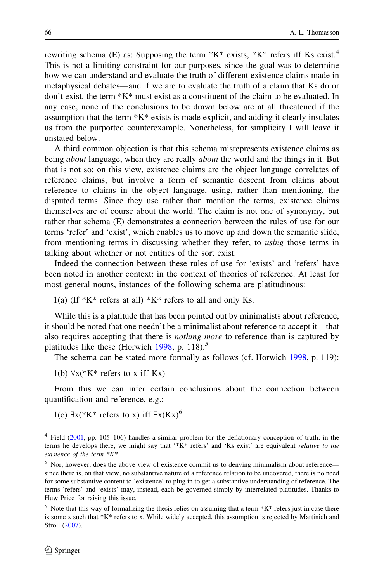rewriting schema (E) as: Supposing the term  $*K*$  exists,  $*K*$  refers iff Ks exist.<sup>4</sup> This is not a limiting constraint for our purposes, since the goal was to determine how we can understand and evaluate the truth of different existence claims made in metaphysical debates—and if we are to evaluate the truth of a claim that Ks do or don't exist, the term  $K^*$  must exist as a constituent of the claim to be evaluated. In any case, none of the conclusions to be drawn below are at all threatened if the assumption that the term  $-K^*$  exists is made explicit, and adding it clearly insulates us from the purported counterexample. Nonetheless, for simplicity I will leave it unstated below.

A third common objection is that this schema misrepresents existence claims as being *about* language, when they are really *about* the world and the things in it. But that is not so: on this view, existence claims are the object language correlates of reference claims, but involve a form of semantic descent from claims about reference to claims in the object language, using, rather than mentioning, the disputed terms. Since they use rather than mention the terms, existence claims themselves are of course about the world. The claim is not one of synonymy, but rather that schema (E) demonstrates a connection between the rules of use for our terms 'refer' and 'exist', which enables us to move up and down the semantic slide, from mentioning terms in discussing whether they refer, to using those terms in talking about whether or not entities of the sort exist.

Indeed the connection between these rules of use for 'exists' and 'refers' have been noted in another context: in the context of theories of reference. At least for most general nouns, instances of the following schema are platitudinous:

1(a) (If  $*K*$  refers at all)  $*K*$  refers to all and only Ks.

While this is a platitude that has been pointed out by minimalists about reference, it should be noted that one needn't be a minimalist about reference to accept it—that also requires accepting that there is nothing more to reference than is captured by platitudes like these (Horwich  $1998$ , p. 118).<sup>5</sup>

The schema can be stated more formally as follows (cf. Horwich [1998](#page-15-0), p. 119):

1(b)  $\forall x$ (\*K\* refers to x iff Kx)

From this we can infer certain conclusions about the connection between quantification and reference, e.g.:

1(c)  $\exists x$ (\*K\* refers to x) iff  $\exists x$ (Kx)<sup>6</sup>

<sup>4</sup> Field ([2001,](#page-14-0) pp. 105–106) handles a similar problem for the deflationary conception of truth; in the terms he develops there, we might say that  $*K*$  refers' and 'Ks exist' are equivalent *relative to the* existence of the term \*K\*.

 $<sup>5</sup>$  Nor, however, does the above view of existence commit us to denying minimalism about reference—</sup> since there is, on that view, no substantive nature of a reference relation to be uncovered, there is no need for some substantive content to 'existence' to plug in to get a substantive understanding of reference. The terms 'refers' and 'exists' may, instead, each be governed simply by interrelated platitudes. Thanks to Huw Price for raising this issue.

 $6$  Note that this way of formalizing the thesis relies on assuming that a term  $*K*$  refers just in case there is some x such that \*K\* refers to x. While widely accepted, this assumption is rejected by Martinich and Stroll [\(2007\)](#page-15-0).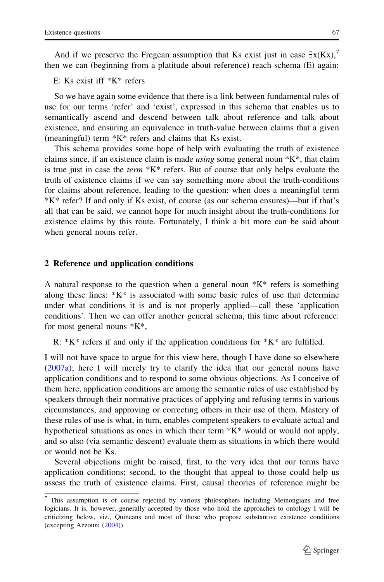<span id="page-4-0"></span>And if we preserve the Fregean assumption that Ks exist just in case  $\exists x(Kx)$ ,<sup>7</sup> then we can (beginning from a platitude about reference) reach schema (E) again:

E: Ks exist iff \*K\* refers

So we have again some evidence that there is a link between fundamental rules of use for our terms 'refer' and 'exist', expressed in this schema that enables us to semantically ascend and descend between talk about reference and talk about existence, and ensuring an equivalence in truth-value between claims that a given (meaningful) term  $*K^*$  refers and claims that Ks exist.

This schema provides some hope of help with evaluating the truth of existence claims since, if an existence claim is made *using* some general noun  $K^*$ , that claim is true just in case the *term*  $*K*$  refers. But of course that only helps evaluate the truth of existence claims if we can say something more about the truth-conditions for claims about reference, leading to the question: when does a meaningful term \*K\* refer? If and only if Ks exist, of course (as our schema ensures)—but if that's all that can be said, we cannot hope for much insight about the truth-conditions for existence claims by this route. Fortunately, I think a bit more can be said about when general nouns refer.

#### 2 Reference and application conditions

A natural response to the question when a general noun  $K^*$  refers is something along these lines: \*K\* is associated with some basic rules of use that determine under what conditions it is and is not properly applied—call these 'application conditions'. Then we can offer another general schema, this time about reference: for most general nouns \*K\*,

R:  $*K*$  refers if and only if the application conditions for  $*K*$  are fulfilled.

I will not have space to argue for this view here, though I have done so elsewhere [\(2007a\)](#page-15-0); here I will merely try to clarify the idea that our general nouns have application conditions and to respond to some obvious objections. As I conceive of them here, application conditions are among the semantic rules of use established by speakers through their normative practices of applying and refusing terms in various circumstances, and approving or correcting others in their use of them. Mastery of these rules of use is what, in turn, enables competent speakers to evaluate actual and hypothetical situations as ones in which their term \*K\* would or would not apply, and so also (via semantic descent) evaluate them as situations in which there would or would not be Ks.

Several objections might be raised, first, to the very idea that our terms have application conditions; second, to the thought that appeal to those could help us assess the truth of existence claims. First, causal theories of reference might be

<sup>7</sup> This assumption is of course rejected by various philosophers including Meinongians and free logicians. It is, however, generally accepted by those who hold the approaches to ontology I will be criticizing below, viz., Quineans and most of those who propose substantive existence conditions (excepting Azzouni ([2004\)](#page-14-0)).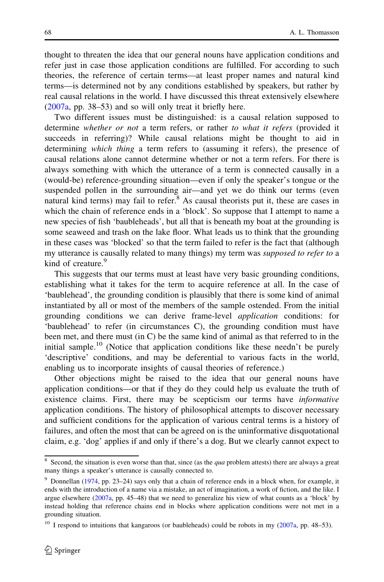thought to threaten the idea that our general nouns have application conditions and refer just in case those application conditions are fulfilled. For according to such theories, the reference of certain terms—at least proper names and natural kind terms—is determined not by any conditions established by speakers, but rather by real causal relations in the world. I have discussed this threat extensively elsewhere [\(2007a,](#page-15-0) pp. 38–53) and so will only treat it briefly here.

Two different issues must be distinguished: is a causal relation supposed to determine whether or not a term refers, or rather to what it refers (provided it succeeds in referring)? While causal relations might be thought to aid in determining which thing a term refers to (assuming it refers), the presence of causal relations alone cannot determine whether or not a term refers. For there is always something with which the utterance of a term is connected causally in a (would-be) reference-grounding situation—even if only the speaker's tongue or the suspended pollen in the surrounding air—and yet we do think our terms (even natural kind terms) may fail to refer.<sup>8</sup> As causal theorists put it, these are cases in which the chain of reference ends in a 'block'. So suppose that I attempt to name a new species of fish 'baubleheads', but all that is beneath my boat at the grounding is some seaweed and trash on the lake floor. What leads us to think that the grounding in these cases was 'blocked' so that the term failed to refer is the fact that (although my utterance is causally related to many things) my term was *supposed to refer to* a kind of creature.<sup>9</sup>

This suggests that our terms must at least have very basic grounding conditions, establishing what it takes for the term to acquire reference at all. In the case of 'baublehead', the grounding condition is plausibly that there is some kind of animal instantiated by all or most of the members of the sample ostended. From the initial grounding conditions we can derive frame-level application conditions: for 'baublehead' to refer (in circumstances C), the grounding condition must have been met, and there must (in C) be the same kind of animal as that referred to in the initial sample.<sup>10</sup> (Notice that application conditions like these needn't be purely 'descriptive' conditions, and may be deferential to various facts in the world, enabling us to incorporate insights of causal theories of reference.)

Other objections might be raised to the idea that our general nouns have application conditions—or that if they do they could help us evaluate the truth of existence claims. First, there may be scepticism our terms have *informative* application conditions. The history of philosophical attempts to discover necessary and sufficient conditions for the application of various central terms is a history of failures, and often the most that can be agreed on is the uninformative disquotational claim, e.g. 'dog' applies if and only if there's a dog. But we clearly cannot expect to

 $8$  Second, the situation is even worse than that, since (as the *qua* problem attests) there are always a great many things a speaker's utterance is causally connected to.

<sup>9</sup> Donnellan [\(1974](#page-14-0), pp. 23–24) says only that a chain of reference ends in a block when, for example, it ends with the introduction of a name via a mistake, an act of imagination, a work of fiction, and the like. I argue elsewhere ([2007a,](#page-15-0) pp. 45–48) that we need to generalize his view of what counts as a 'block' by instead holding that reference chains end in blocks where application conditions were not met in a grounding situation.

 $10$  I respond to intuitions that kangaroos (or baubleheads) could be robots in my ([2007a](#page-15-0), pp. 48–53).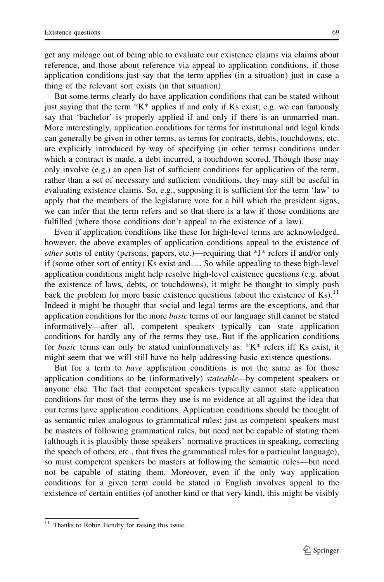get any mileage out of being able to evaluate our existence claims via claims about reference, and those about reference via appeal to application conditions, if those application conditions just say that the term applies (in a situation) just in case a thing of the relevant sort exists (in that situation).

But some terms clearly do have application conditions that can be stated without just saying that the term  $*K^*$  applies if and only if Ks exist; e.g. we can famously say that 'bachelor' is properly applied if and only if there is an unmarried man. More interestingly, application conditions for terms for institutional and legal kinds can generally be given in other terms, as terms for contracts, debts, touchdowns, etc. are explicitly introduced by way of specifying (in other terms) conditions under which a contract is made, a debt incurred, a touchdown scored. Though these may only involve (e.g.) an open list of sufficient conditions for application of the term, rather than a set of necessary and sufficient conditions, they may still be useful in evaluating existence claims. So, e.g., supposing it is sufficient for the term 'law' to apply that the members of the legislature vote for a bill which the president signs, we can infer that the term refers and so that there is a law if those conditions are fulfilled (where those conditions don't appeal to the existence of a law).

Even if application conditions like these for high-level terms are acknowledged, however, the above examples of application conditions appeal to the existence of other sorts of entity (persons, papers, etc.)—requiring that \*J\* refers if and/or only if (some other sort of entity) Ks exist and…. So while appealing to these high-level application conditions might help resolve high-level existence questions (e.g. about the existence of laws, debts, or touchdowns), it might be thought to simply push back the problem for more basic existence questions (about the existence of Ks).<sup>11</sup> Indeed it might be thought that social and legal terms are the exceptions, and that application conditions for the more *basic* terms of our language still cannot be stated informatively—after all, competent speakers typically can state application conditions for hardly any of the terms they use. But if the application conditions for *basic* terms can only be stated uninformatively as:  $*K^*$  refers iff Ks exist, it might seem that we will still have no help addressing basic existence questions.

But for a term to *have* application conditions is not the same as for those application conditions to be (informatively) stateable—by competent speakers or anyone else. The fact that competent speakers typically cannot state application conditions for most of the terms they use is no evidence at all against the idea that our terms have application conditions. Application conditions should be thought of as semantic rules analogous to grammatical rules; just as competent speakers must be masters of following grammatical rules, but need not be capable of stating them (although it is plausibly those speakers' normative practices in speaking, correcting the speech of others, etc., that fixes the grammatical rules for a particular language), so must competent speakers be masters at following the semantic rules—but need not be capable of stating them. Moreover, even if the only way application conditions for a given term could be stated in English involves appeal to the existence of certain entities (of another kind or that very kind), this might be visibly

<sup>&</sup>lt;sup>11</sup> Thanks to Robin Hendry for raising this issue.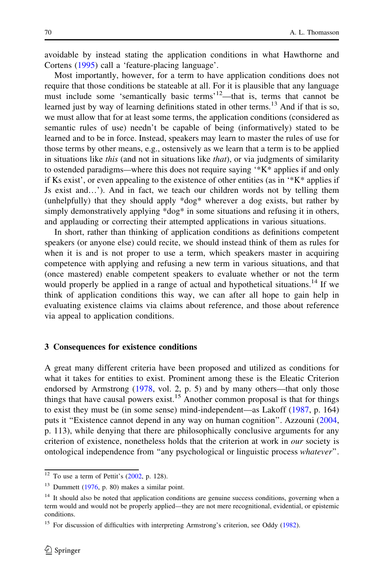<span id="page-7-0"></span>avoidable by instead stating the application conditions in what Hawthorne and Cortens ([1995\)](#page-15-0) call a 'feature-placing language'.

Most importantly, however, for a term to have application conditions does not require that those conditions be stateable at all. For it is plausible that any language must include some 'semantically basic terms'<sup>12</sup>—that is, terms that cannot be learned just by way of learning definitions stated in other terms.<sup>13</sup> And if that is so, we must allow that for at least some terms, the application conditions (considered as semantic rules of use) needn't be capable of being (informatively) stated to be learned and to be in force. Instead, speakers may learn to master the rules of use for those terms by other means, e.g., ostensively as we learn that a term is to be applied in situations like *this* (and not in situations like *that*), or via judgments of similarity to ostended paradigms—where this does not require saying '\*K\* applies if and only if Ks exist', or even appealing to the existence of other entities (as in  $A K^*$  applies if Js exist and…'). And in fact, we teach our children words not by telling them (unhelpfully) that they should apply \*dog\* wherever a dog exists, but rather by simply demonstratively applying \*dog\* in some situations and refusing it in others, and applauding or correcting their attempted applications in various situations.

In short, rather than thinking of application conditions as definitions competent speakers (or anyone else) could recite, we should instead think of them as rules for when it is and is not proper to use a term, which speakers master in acquiring competence with applying and refusing a new term in various situations, and that (once mastered) enable competent speakers to evaluate whether or not the term would properly be applied in a range of actual and hypothetical situations.<sup>14</sup> If we think of application conditions this way, we can after all hope to gain help in evaluating existence claims via claims about reference, and those about reference via appeal to application conditions.

## 3 Consequences for existence conditions

A great many different criteria have been proposed and utilized as conditions for what it takes for entities to exist. Prominent among these is the Eleatic Criterion endorsed by Armstrong ([1978,](#page-14-0) vol. 2, p. 5) and by many others—that only those things that have causal powers exist.<sup>15</sup> Another common proposal is that for things to exist they must be (in some sense) mind-independent—as Lakoff ([1987,](#page-15-0) p. 164) puts it ''Existence cannot depend in any way on human cognition''. Azzouni ([2004,](#page-14-0) p. 113), while denying that there are philosophically conclusive arguments for any criterion of existence, nonetheless holds that the criterion at work in our society is ontological independence from ''any psychological or linguistic process whatever''.

 $12$  To use a term of Pettit's [\(2002](#page-15-0), p. 128).

<sup>&</sup>lt;sup>13</sup> Dummett [\(1976](#page-14-0), p. 80) makes a similar point.

<sup>&</sup>lt;sup>14</sup> It should also be noted that application conditions are genuine success conditions, governing when a term would and would not be properly applied—they are not mere recognitional, evidential, or epistemic conditions.

<sup>&</sup>lt;sup>15</sup> For discussion of difficulties with interpreting Armstrong's criterion, see Oddy [\(1982](#page-15-0)).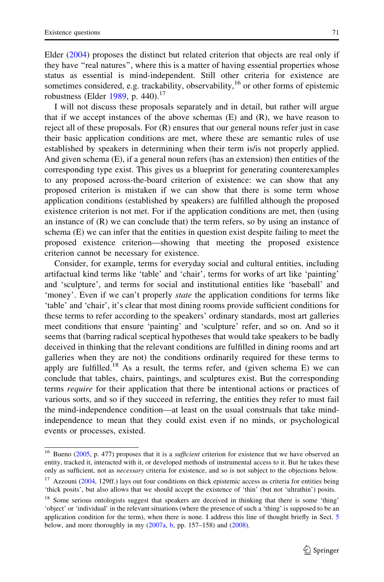Elder [\(2004](#page-14-0)) proposes the distinct but related criterion that objects are real only if they have ''real natures'', where this is a matter of having essential properties whose status as essential is mind-independent. Still other criteria for existence are sometimes considered, e.g. trackability, observability,<sup>16</sup> or other forms of epistemic robustness (Elder [1989,](#page-14-0) p. 440).<sup>17</sup>

I will not discuss these proposals separately and in detail, but rather will argue that if we accept instances of the above schemas  $(E)$  and  $(R)$ , we have reason to reject all of these proposals. For (R) ensures that our general nouns refer just in case their basic application conditions are met, where these are semantic rules of use established by speakers in determining when their term is/is not properly applied. And given schema (E), if a general noun refers (has an extension) then entities of the corresponding type exist. This gives us a blueprint for generating counterexamples to any proposed across-the-board criterion of existence: we can show that any proposed criterion is mistaken if we can show that there is some term whose application conditions (established by speakers) are fulfilled although the proposed existence criterion is not met. For if the application conditions are met, then (using an instance of  $(R)$  we can conclude that) the term refers, so by using an instance of schema (E) we can infer that the entities in question exist despite failing to meet the proposed existence criterion—showing that meeting the proposed existence criterion cannot be necessary for existence.

Consider, for example, terms for everyday social and cultural entities, including artifactual kind terms like 'table' and 'chair', terms for works of art like 'painting' and 'sculpture', and terms for social and institutional entities like 'baseball' and 'money'. Even if we can't properly *state* the application conditions for terms like 'table' and 'chair', it's clear that most dining rooms provide sufficient conditions for these terms to refer according to the speakers' ordinary standards, most art galleries meet conditions that ensure 'painting' and 'sculpture' refer, and so on. And so it seems that (barring radical sceptical hypotheses that would take speakers to be badly deceived in thinking that the relevant conditions are fulfilled in dining rooms and art galleries when they are not) the conditions ordinarily required for these terms to apply are fulfilled.<sup>18</sup> As a result, the terms refer, and (given schema E) we can conclude that tables, chairs, paintings, and sculptures exist. But the corresponding terms require for their application that there be intentional actions or practices of various sorts, and so if they succeed in referring, the entities they refer to must fail the mind-independence condition—at least on the usual construals that take mindindependence to mean that they could exist even if no minds, or psychological events or processes, existed.

<sup>&</sup>lt;sup>16</sup> Bueno [\(2005,](#page-14-0) p. 477) proposes that it is a *sufficient* criterion for existence that we have observed an entity, tracked it, interacted with it, or developed methods of instrumental access to it. But he takes these only as sufficient, not as *necessary* criteria for existence, and so is not subject to the objections below.

<sup>&</sup>lt;sup>17</sup> Azzouni ([2004,](#page-14-0) 129ff.) lays out four conditions on thick epistemic access as criteria for entities being 'thick posits', but also allows that we should accept the existence of 'thin' (but not 'ultrathin') posits.

<sup>&</sup>lt;sup>18</sup> Some serious ontologists suggest that speakers are deceived in thinking that there is some 'thing' 'object' or 'individual' in the relevant situations (where the presence of such a 'thing' is supposed to be an application condition for the term), when there is none. I address this line of thought briefly in Sect. [5](#page-12-0) [b](#page-15-0)elow, and more thoroughly in my  $(2007a, b, pp. 157-158)$  $(2007a, b, pp. 157-158)$  and  $(2008)$  $(2008)$ .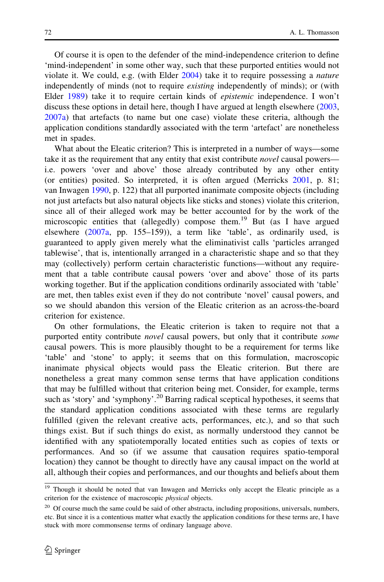Of course it is open to the defender of the mind-independence criterion to define 'mind-independent' in some other way, such that these purported entities would not violate it. We could, e.g. (with Elder [2004\)](#page-14-0) take it to require possessing a *nature* independently of minds (not to require *existing* independently of minds); or (with Elder [1989](#page-14-0)) take it to require certain kinds of *epistemic* independence. I won't discuss these options in detail here, though I have argued at length elsewhere ([2003,](#page-15-0) [2007a](#page-15-0)) that artefacts (to name but one case) violate these criteria, although the application conditions standardly associated with the term 'artefact' are nonetheless met in spades.

What about the Eleatic criterion? This is interpreted in a number of ways—some take it as the requirement that any entity that exist contribute *novel* causal powers i.e. powers 'over and above' those already contributed by any other entity (or entities) posited. So interpreted, it is often argued (Merricks [2001](#page-15-0), p. 81; van Inwagen [1990,](#page-15-0) p. 122) that all purported inanimate composite objects (including not just artefacts but also natural objects like sticks and stones) violate this criterion, since all of their alleged work may be better accounted for by the work of the microscopic entities that (allegedly) compose them.<sup>19</sup> But (as I have argued elsewhere ([2007a](#page-15-0), pp. 155–159)), a term like 'table', as ordinarily used, is guaranteed to apply given merely what the eliminativist calls 'particles arranged tablewise', that is, intentionally arranged in a characteristic shape and so that they may (collectively) perform certain characteristic functions—without any requirement that a table contribute causal powers 'over and above' those of its parts working together. But if the application conditions ordinarily associated with 'table' are met, then tables exist even if they do not contribute 'novel' causal powers, and so we should abandon this version of the Eleatic criterion as an across-the-board criterion for existence.

On other formulations, the Eleatic criterion is taken to require not that a purported entity contribute novel causal powers, but only that it contribute some causal powers. This is more plausibly thought to be a requirement for terms like 'table' and 'stone' to apply; it seems that on this formulation, macroscopic inanimate physical objects would pass the Eleatic criterion. But there are nonetheless a great many common sense terms that have application conditions that may be fulfilled without that criterion being met. Consider, for example, terms such as 'story' and 'symphony'.<sup>20</sup> Barring radical sceptical hypotheses, it seems that the standard application conditions associated with these terms are regularly fulfilled (given the relevant creative acts, performances, etc.), and so that such things exist. But if such things do exist, as normally understood they cannot be identified with any spatiotemporally located entities such as copies of texts or performances. And so (if we assume that causation requires spatio-temporal location) they cannot be thought to directly have any causal impact on the world at all, although their copies and performances, and our thoughts and beliefs about them

<sup>&</sup>lt;sup>19</sup> Though it should be noted that van Inwagen and Merricks only accept the Eleatic principle as a criterion for the existence of macroscopic physical objects.

<sup>&</sup>lt;sup>20</sup> Of course much the same could be said of other abstracta, including propositions, universals, numbers, etc. But since it is a contentious matter what exactly the application conditions for these terms are, I have stuck with more commonsense terms of ordinary language above.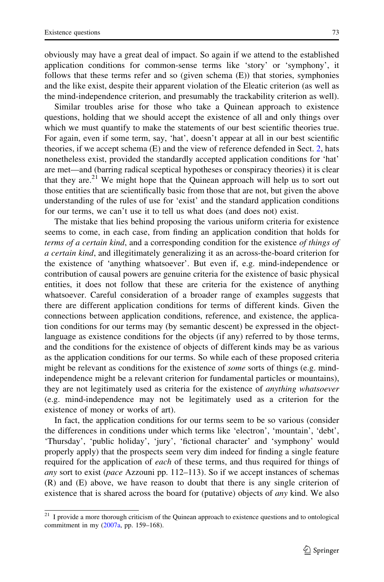obviously may have a great deal of impact. So again if we attend to the established application conditions for common-sense terms like 'story' or 'symphony', it follows that these terms refer and so (given schema (E)) that stories, symphonies and the like exist, despite their apparent violation of the Eleatic criterion (as well as the mind-independence criterion, and presumably the trackability criterion as well).

Similar troubles arise for those who take a Quinean approach to existence questions, holding that we should accept the existence of all and only things over which we must quantify to make the statements of our best scientific theories true. For again, even if some term, say, 'hat', doesn't appear at all in our best scientific theories, if we accept schema (E) and the view of reference defended in Sect. [2](#page-4-0), hats nonetheless exist, provided the standardly accepted application conditions for 'hat' are met—and (barring radical sceptical hypotheses or conspiracy theories) it is clear that they are. $21$  We might hope that the Quinean approach will help us to sort out those entities that are scientifically basic from those that are not, but given the above understanding of the rules of use for 'exist' and the standard application conditions for our terms, we can't use it to tell us what does (and does not) exist.

The mistake that lies behind proposing the various uniform criteria for existence seems to come, in each case, from finding an application condition that holds for terms of a certain kind, and a corresponding condition for the existence of things of a certain kind, and illegitimately generalizing it as an across-the-board criterion for the existence of 'anything whatsoever'. But even if, e.g. mind-independence or contribution of causal powers are genuine criteria for the existence of basic physical entities, it does not follow that these are criteria for the existence of anything whatsoever. Careful consideration of a broader range of examples suggests that there are different application conditions for terms of different kinds. Given the connections between application conditions, reference, and existence, the application conditions for our terms may (by semantic descent) be expressed in the objectlanguage as existence conditions for the objects (if any) referred to by those terms, and the conditions for the existence of objects of different kinds may be as various as the application conditions for our terms. So while each of these proposed criteria might be relevant as conditions for the existence of *some* sorts of things (e.g. mindindependence might be a relevant criterion for fundamental particles or mountains), they are not legitimately used as criteria for the existence of anything whatsoever (e.g. mind-independence may not be legitimately used as a criterion for the existence of money or works of art).

In fact, the application conditions for our terms seem to be so various (consider the differences in conditions under which terms like 'electron', 'mountain', 'debt', 'Thursday', 'public holiday', 'jury', 'fictional character' and 'symphony' would properly apply) that the prospects seem very dim indeed for finding a single feature required for the application of *each* of these terms, and thus required for things of any sort to exist (pace Azzouni pp. 112–113). So if we accept instances of schemas (R) and (E) above, we have reason to doubt that there is any single criterion of existence that is shared across the board for (putative) objects of *any* kind. We also

<sup>21</sup> I provide a more thorough criticism of the Quinean approach to existence questions and to ontological commitment in my [\(2007a,](#page-15-0) pp. 159–168).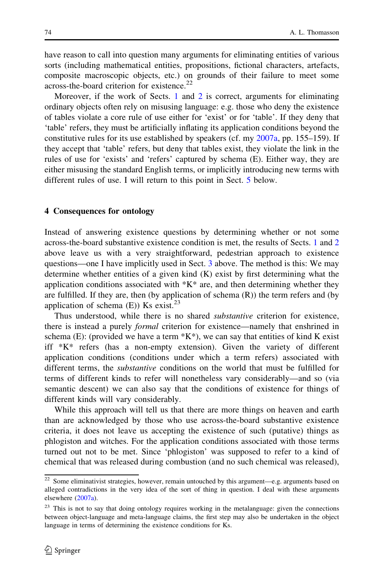<span id="page-11-0"></span>have reason to call into question many arguments for eliminating entities of various sorts (including mathematical entities, propositions, fictional characters, artefacts, composite macroscopic objects, etc.) on grounds of their failure to meet some across-the-board criterion for existence.<sup>22</sup>

Moreover, if the work of Sects. [1](#page-1-0) and [2](#page-4-0) is correct, arguments for eliminating ordinary objects often rely on misusing language: e.g. those who deny the existence of tables violate a core rule of use either for 'exist' or for 'table'. If they deny that 'table' refers, they must be artificially inflating its application conditions beyond the constitutive rules for its use established by speakers (cf. my [2007a,](#page-15-0) pp. 155–159). If they accept that 'table' refers, but deny that tables exist, they violate the link in the rules of use for 'exists' and 'refers' captured by schema (E). Either way, they are either misusing the standard English terms, or implicitly introducing new terms with different rules of use. I will return to this point in Sect. [5](#page-12-0) below.

#### 4 Consequences for ontology

Instead of answering existence questions by determining whether or not some across-the-board substantive existence condition is met, the results of Sects. [1](#page-1-0) and [2](#page-4-0) above leave us with a very straightforward, pedestrian approach to existence questions—one I have implicitly used in Sect. [3](#page-7-0) above. The method is this: We may determine whether entities of a given kind  $(K)$  exist by first determining what the application conditions associated with  $*K^*$  are, and then determining whether they are fulfilled. If they are, then (by application of schema  $(R)$ ) the term refers and (by application of schema  $(E)$ ) Ks exist.<sup>23</sup>

Thus understood, while there is no shared substantive criterion for existence, there is instead a purely formal criterion for existence—namely that enshrined in schema (E): (provided we have a term  $*K^*$ ), we can say that entities of kind K exist iff \*K\* refers (has a non-empty extension). Given the variety of different application conditions (conditions under which a term refers) associated with different terms, the substantive conditions on the world that must be fulfilled for terms of different kinds to refer will nonetheless vary considerably—and so (via semantic descent) we can also say that the conditions of existence for things of different kinds will vary considerably.

While this approach will tell us that there are more things on heaven and earth than are acknowledged by those who use across-the-board substantive existence criteria, it does not leave us accepting the existence of such (putative) things as phlogiston and witches. For the application conditions associated with those terms turned out not to be met. Since 'phlogiston' was supposed to refer to a kind of chemical that was released during combustion (and no such chemical was released),

<sup>&</sup>lt;sup>22</sup> Some eliminativist strategies, however, remain untouched by this argument—e.g. arguments based on alleged contradictions in the very idea of the sort of thing in question. I deal with these arguments elsewhere [\(2007a\)](#page-15-0).

<sup>&</sup>lt;sup>23</sup> This is not to say that doing ontology requires working in the metalanguage: given the connections between object-language and meta-language claims, the first step may also be undertaken in the object language in terms of determining the existence conditions for Ks.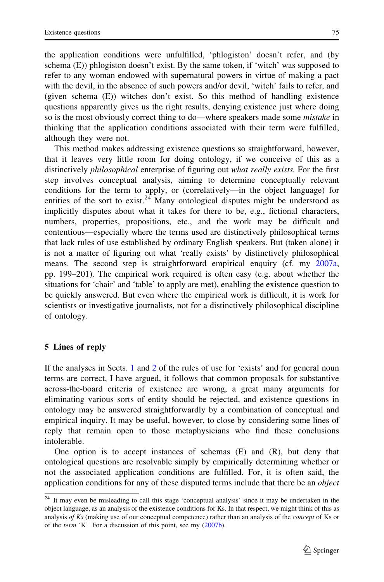<span id="page-12-0"></span>the application conditions were unfulfilled, 'phlogiston' doesn't refer, and (by schema (E)) phlogiston doesn't exist. By the same token, if 'witch' was supposed to refer to any woman endowed with supernatural powers in virtue of making a pact with the devil, in the absence of such powers and/or devil, 'witch' fails to refer, and (given schema (E)) witches don't exist. So this method of handling existence questions apparently gives us the right results, denying existence just where doing so is the most obviously correct thing to do—where speakers made some *mistake* in thinking that the application conditions associated with their term were fulfilled, although they were not.

This method makes addressing existence questions so straightforward, however, that it leaves very little room for doing ontology, if we conceive of this as a distinctively *philosophical* enterprise of figuring out *what really exists*. For the first step involves conceptual analysis, aiming to determine conceptually relevant conditions for the term to apply, or (correlatively—in the object language) for entities of the sort to exist.<sup>24</sup> Many ontological disputes might be understood as implicitly disputes about what it takes for there to be, e.g., fictional characters, numbers, properties, propositions, etc., and the work may be difficult and contentious—especially where the terms used are distinctively philosophical terms that lack rules of use established by ordinary English speakers. But (taken alone) it is not a matter of figuring out what 'really exists' by distinctively philosophical means. The second step is straightforward empirical enquiry (cf. my [2007a,](#page-15-0) pp. 199–201). The empirical work required is often easy (e.g. about whether the situations for 'chair' and 'table' to apply are met), enabling the existence question to be quickly answered. But even where the empirical work is difficult, it is work for scientists or investigative journalists, not for a distinctively philosophical discipline of ontology.

## 5 Lines of reply

If the analyses in Sects. [1](#page-1-0) and [2](#page-4-0) of the rules of use for 'exists' and for general noun terms are correct, I have argued, it follows that common proposals for substantive across-the-board criteria of existence are wrong, a great many arguments for eliminating various sorts of entity should be rejected, and existence questions in ontology may be answered straightforwardly by a combination of conceptual and empirical inquiry. It may be useful, however, to close by considering some lines of reply that remain open to those metaphysicians who find these conclusions intolerable.

One option is to accept instances of schemas (E) and (R), but deny that ontological questions are resolvable simply by empirically determining whether or not the associated application conditions are fulfilled. For, it is often said, the application conditions for any of these disputed terms include that there be an *object* 

<sup>&</sup>lt;sup>24</sup> It may even be misleading to call this stage 'conceptual analysis' since it may be undertaken in the object language, as an analysis of the existence conditions for Ks. In that respect, we might think of this as analysis of Ks (making use of our conceptual competence) rather than an analysis of the *concept* of Ks or of the term 'K'. For a discussion of this point, see my [\(2007b\)](#page-15-0).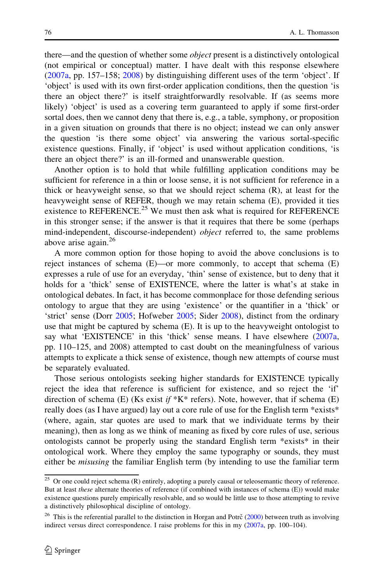there—and the question of whether some object present is a distinctively ontological (not empirical or conceptual) matter. I have dealt with this response elsewhere [\(2007a,](#page-15-0) pp. 157–158; [2008](#page-15-0)) by distinguishing different uses of the term 'object'. If 'object' is used with its own first-order application conditions, then the question 'is there an object there?' is itself straightforwardly resolvable. If (as seems more likely) 'object' is used as a covering term guaranteed to apply if some first-order sortal does, then we cannot deny that there is, e.g., a table, symphony, or proposition in a given situation on grounds that there is no object; instead we can only answer the question 'is there some object' via answering the various sortal-specific existence questions. Finally, if 'object' is used without application conditions, 'is there an object there?' is an ill-formed and unanswerable question.

Another option is to hold that while fulfilling application conditions may be sufficient for reference in a thin or loose sense, it is not sufficient for reference in a thick or heavyweight sense, so that we should reject schema (R), at least for the heavyweight sense of REFER, though we may retain schema (E), provided it ties existence to REFERENCE.<sup>25</sup> We must then ask what is required for REFERENCE in this stronger sense; if the answer is that it requires that there be some (perhaps mind-independent, discourse-independent) *object* referred to, the same problems above arise again. $26$ 

A more common option for those hoping to avoid the above conclusions is to reject instances of schema (E)—or more commonly, to accept that schema (E) expresses a rule of use for an everyday, 'thin' sense of existence, but to deny that it holds for a 'thick' sense of EXISTENCE, where the latter is what's at stake in ontological debates. In fact, it has become commonplace for those defending serious ontology to argue that they are using 'existence' or the quantifier in a 'thick' or 'strict' sense (Dorr [2005](#page-14-0); Hofweber [2005](#page-15-0); Sider [2008](#page-15-0)), distinct from the ordinary use that might be captured by schema (E). It is up to the heavyweight ontologist to say what 'EXISTENCE' in this 'thick' sense means. I have elsewhere [\(2007a,](#page-15-0) pp. 110–125, and 2008) attempted to cast doubt on the meaningfulness of various attempts to explicate a thick sense of existence, though new attempts of course must be separately evaluated.

Those serious ontologists seeking higher standards for EXISTENCE typically reject the idea that reference is sufficient for existence, and so reject the 'if' direction of schema (E) (Ks exist if  $*K^*$  refers). Note, however, that if schema (E) really does (as I have argued) lay out a core rule of use for the English term \*exists\* (where, again, star quotes are used to mark that we individuate terms by their meaning), then as long as we think of meaning as fixed by core rules of use, serious ontologists cannot be properly using the standard English term \*exists\* in their ontological work. Where they employ the same typography or sounds, they must either be *misusing* the familiar English term (by intending to use the familiar term

 $25$  Or one could reject schema (R) entirely, adopting a purely causal or teleosemantic theory of reference. But at least these alternate theories of reference (if combined with instances of schema (E)) would make existence questions purely empirically resolvable, and so would be little use to those attempting to revive a distinctively philosophical discipline of ontology.

<sup>&</sup>lt;sup>26</sup> This is the referential parallel to the distinction in Horgan and Potrč ([2000\)](#page-15-0) between truth as involving indirect versus direct correspondence. I raise problems for this in my [\(2007a,](#page-15-0) pp. 100–104).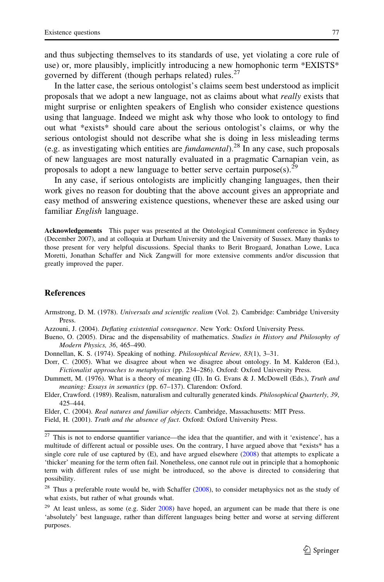<span id="page-14-0"></span>and thus subjecting themselves to its standards of use, yet violating a core rule of use) or, more plausibly, implicitly introducing a new homophonic term \*EXISTS\* governed by different (though perhaps related) rules. $27$ 

In the latter case, the serious ontologist's claims seem best understood as implicit proposals that we adopt a new language, not as claims about what really exists that might surprise or enlighten speakers of English who consider existence questions using that language. Indeed we might ask why those who look to ontology to find out what \*exists\* should care about the serious ontologist's claims, or why the serious ontologist should not describe what she is doing in less misleading terms (e.g. as investigating which entities are *fundamental*).<sup>28</sup> In any case, such proposals of new languages are most naturally evaluated in a pragmatic Carnapian vein, as proposals to adopt a new language to better serve certain purpose $(s)$ .<sup>29</sup>

In any case, if serious ontologists are implicitly changing languages, then their work gives no reason for doubting that the above account gives an appropriate and easy method of answering existence questions, whenever these are asked using our familiar English language.

Acknowledgements This paper was presented at the Ontological Commitment conference in Sydney (December 2007), and at colloquia at Durham University and the University of Sussex. Many thanks to those present for very helpful discussions. Special thanks to Berit Brogaard, Jonathan Lowe, Luca Moretti, Jonathan Schaffer and Nick Zangwill for more extensive comments and/or discussion that greatly improved the paper.

## References

Armstrong, D. M. (1978). Universals and scientific realism (Vol. 2). Cambridge: Cambridge University Press.

Azzouni, J. (2004). Deflating existential consequence. New York: Oxford University Press.

- Bueno, O. (2005). Dirac and the dispensability of mathematics. Studies in History and Philosophy of Modern Physics, 36, 465–490.
- Donnellan, K. S. (1974). Speaking of nothing. Philosophical Review, 83(1), 3–31.
- Dorr, C. (2005). What we disagree about when we disagree about ontology. In M. Kalderon (Ed.), Fictionalist approaches to metaphysics (pp. 234–286). Oxford: Oxford University Press.
- Dummett, M. (1976). What is a theory of meaning (II). In G. Evans & J. McDowell (Eds.), Truth and meaning: Essays in semantics (pp. 67–137). Clarendon: Oxford.
- Elder, Crawford. (1989). Realism, naturalism and culturally generated kinds. Philosophical Quarterly, 39, 425–444.
- Elder, C. (2004). Real natures and familiar objects. Cambridge, Massachusetts: MIT Press.
- Field, H. (2001). Truth and the absence of fact. Oxford: Oxford University Press.

 $27$  This is not to endorse quantifier variance—the idea that the quantifier, and with it 'existence', has a multitude of different actual or possible uses. On the contrary, I have argued above that \*exists\* has a single core rule of use captured by (E), and have argued elsewhere ([2008\)](#page-15-0) that attempts to explicate a 'thicker' meaning for the term often fail. Nonetheless, one cannot rule out in principle that a homophonic term with different rules of use might be introduced, so the above is directed to considering that possibility.

 $28$  Thus a preferable route would be, with Schaffer ( $2008$ ), to consider metaphysics not as the study of what exists, but rather of what grounds what.

<sup>&</sup>lt;sup>29</sup> At least unless, as some (e.g. Sider [2008](#page-15-0)) have hoped, an argument can be made that there is one 'absolutely' best language, rather than different languages being better and worse at serving different purposes.